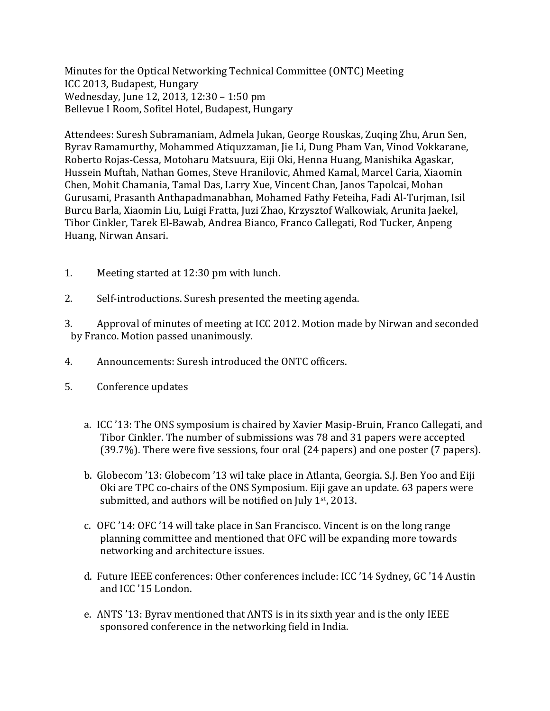Minutes for the Optical Networking Technical Committee (ONTC) Meeting ICC 2013, Budapest, Hungary Wednesday, June 12, 2013, 12:30 - 1:50 pm Bellevue I Room, Sofitel Hotel, Budapest, Hungary

Attendees: Suresh Subramaniam, Admela Jukan, George Rouskas, Zuging Zhu, Arun Sen, Byrav Ramamurthy, Mohammed Atiquzzaman, Jie Li, Dung Pham Van, Vinod Vokkarane, Roberto Rojas-Cessa, Motoharu Matsuura, Eiji Oki, Henna Huang, Manishika Agaskar, Hussein Muftah, Nathan Gomes, Steve Hranilovic, Ahmed Kamal, Marcel Caria, Xiaomin Chen, Mohit Chamania, Tamal Das, Larry Xue, Vincent Chan, Janos Tapolcai, Mohan Gurusami, Prasanth Anthapadmanabhan, Mohamed Fathy Feteiha, Fadi Al-Turjman, Isil Burcu Barla, Xiaomin Liu, Luigi Fratta, Juzi Zhao, Krzysztof Walkowiak, Arunita Jaekel, Tibor Cinkler, Tarek El-Bawab, Andrea Bianco, Franco Callegati, Rod Tucker, Anpeng Huang, Nirwan Ansari.

- 1. Meeting started at 12:30 pm with lunch.
- 2. Self-introductions. Suresh presented the meeting agenda.
- 3. Approval of minutes of meeting at ICC 2012. Motion made by Nirwan and seconded by Franco. Motion passed unanimously.
- 4. Announcements: Suresh introduced the ONTC officers.
- 5. Conference updates
	- a. ICC '13: The ONS symposium is chaired by Xavier Masip-Bruin, Franco Callegati, and Tibor Cinkler. The number of submissions was 78 and 31 papers were accepted  $(39.7%)$ . There were five sessions, four oral  $(24 \text{ papers})$  and one poster  $(7 \text{ papers})$ .
	- b. Globecom '13: Globecom '13 wil take place in Atlanta, Georgia. S.J. Ben Yoo and Eiji Oki are TPC co-chairs of the ONS Symposium. Eiji gave an update. 63 papers were submitted, and authors will be notified on July  $1<sup>st</sup>$ , 2013.
	- c. OFC  $'14$ : OFC  $'14$  will take place in San Francisco. Vincent is on the long range planning committee and mentioned that OFC will be expanding more towards networking and architecture issues.
	- d. Future IEEE conferences: Other conferences include: ICC '14 Sydney, GC '14 Austin and ICC '15 London.
	- e. ANTS '13: Byray mentioned that ANTS is in its sixth year and is the only IEEE sponsored conference in the networking field in India.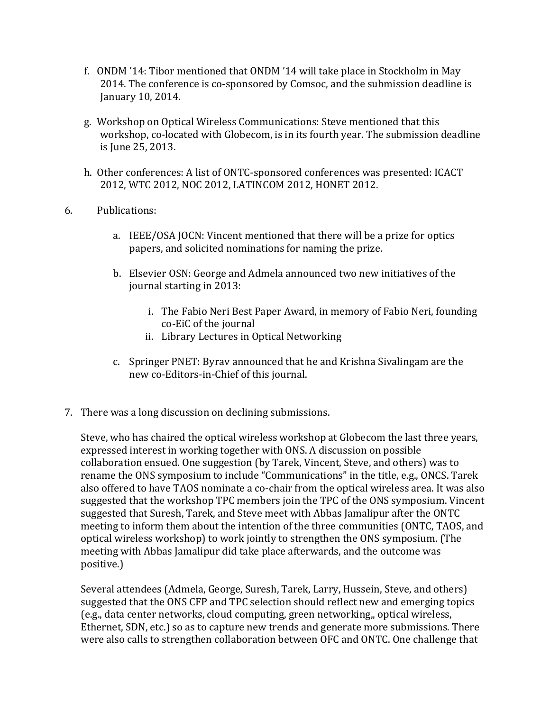- f. ONDM '14: Tibor mentioned that ONDM '14 will take place in Stockholm in May 2014. The conference is co-sponsored by Comsoc, and the submission deadline is January 10, 2014.
- g. Workshop on Optical Wireless Communications: Steve mentioned that this workshop, co-located with Globecom, is in its fourth year. The submission deadline is June 25, 2013.
- h. Other conferences: A list of ONTC-sponsored conferences was presented: ICACT 2012, WTC 2012, NOC 2012, LATINCOM 2012, HONET 2012.
- 6. Publications:
	- a. IEEE/OSA JOCN: Vincent mentioned that there will be a prize for optics papers, and solicited nominations for naming the prize.
	- b. Elsevier OSN: George and Admela announced two new initiatives of the journal starting in 2013:
		- i. The Fabio Neri Best Paper Award, in memory of Fabio Neri, founding co-EiC of the journal
		- ii. Library Lectures in Optical Networking
	- c. Springer PNET: Byrav announced that he and Krishna Sivalingam are the new co-Editors-in-Chief of this journal.
- 7. There was a long discussion on declining submissions.

Steve, who has chaired the optical wireless workshop at Globecom the last three years, expressed interest in working together with ONS. A discussion on possible collaboration ensued. One suggestion (by Tarek, Vincent, Steve, and others) was to rename the ONS symposium to include "Communications" in the title, e.g., ONCS. Tarek also offered to have TAOS nominate a co-chair from the optical wireless area. It was also suggested that the workshop TPC members join the TPC of the ONS symposium. Vincent suggested that Suresh, Tarek, and Steve meet with Abbas Jamalipur after the ONTC meeting to inform them about the intention of the three communities (ONTC, TAOS, and optical wireless workshop) to work jointly to strengthen the ONS symposium. (The meeting with Abbas Jamalipur did take place afterwards, and the outcome was positive.) 

Several attendees (Admela, George, Suresh, Tarek, Larry, Hussein, Steve, and others) suggested that the ONS CFP and TPC selection should reflect new and emerging topics (e.g., data center networks, cloud computing, green networking,, optical wireless, Ethernet, SDN, etc.) so as to capture new trends and generate more submissions. There were also calls to strengthen collaboration between OFC and ONTC. One challenge that